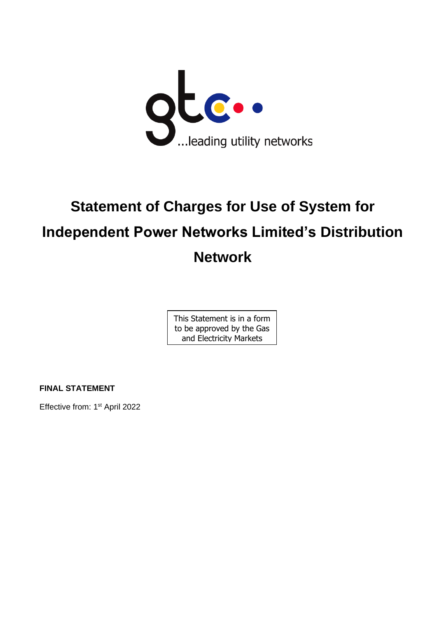

# **Statement of Charges for Use of System for Independent Power Networks Limited's Distribution Network**

This Statement is in a form to be approved by the Gas and Electricity Markets

Authority

**FINAL STATEMENT**

Effective from: 1<sup>st</sup> April 2022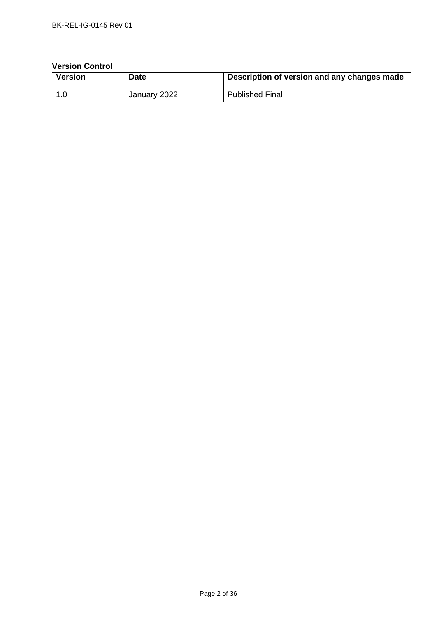## **Version Control**

| Version | Date         | Description of version and any changes made |
|---------|--------------|---------------------------------------------|
| ∣ 1.0   | January 2022 | <b>Published Final</b>                      |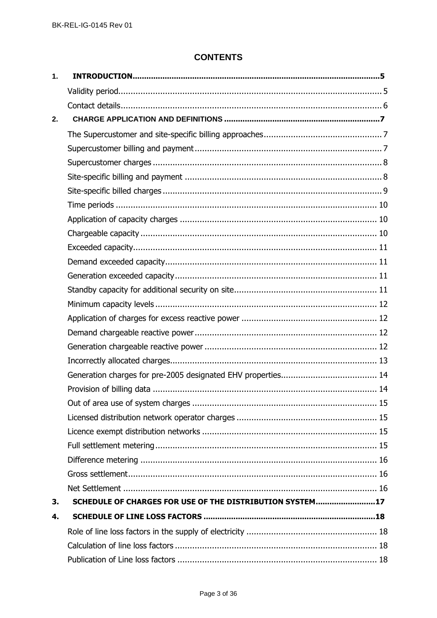# **CONTENTS**

| $\mathbf{1}$ . |                                                          |  |
|----------------|----------------------------------------------------------|--|
|                |                                                          |  |
|                |                                                          |  |
| 2.             |                                                          |  |
|                |                                                          |  |
|                |                                                          |  |
|                |                                                          |  |
|                |                                                          |  |
|                |                                                          |  |
|                |                                                          |  |
|                |                                                          |  |
|                |                                                          |  |
|                |                                                          |  |
|                |                                                          |  |
|                |                                                          |  |
|                |                                                          |  |
|                |                                                          |  |
|                |                                                          |  |
|                |                                                          |  |
|                |                                                          |  |
|                |                                                          |  |
|                |                                                          |  |
|                |                                                          |  |
|                |                                                          |  |
|                |                                                          |  |
|                |                                                          |  |
|                |                                                          |  |
|                |                                                          |  |
|                |                                                          |  |
|                |                                                          |  |
| 3.             | SCHEDULE OF CHARGES FOR USE OF THE DISTRIBUTION SYSTEM17 |  |
| 4.             |                                                          |  |
|                |                                                          |  |
|                |                                                          |  |
|                |                                                          |  |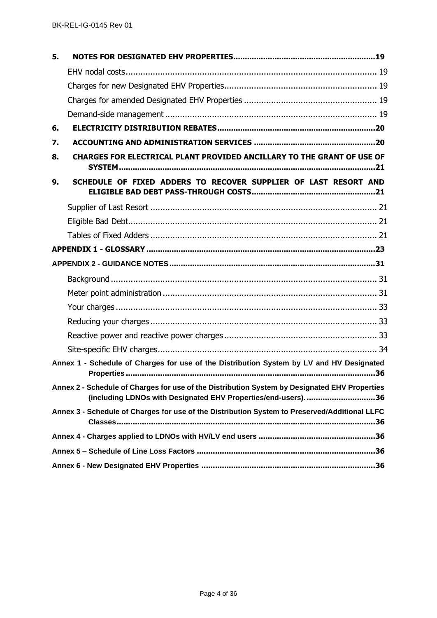| 5. |                                                                                                                                                                 |
|----|-----------------------------------------------------------------------------------------------------------------------------------------------------------------|
|    |                                                                                                                                                                 |
|    |                                                                                                                                                                 |
|    |                                                                                                                                                                 |
|    |                                                                                                                                                                 |
| 6. |                                                                                                                                                                 |
| 7. |                                                                                                                                                                 |
| 8. | CHARGES FOR ELECTRICAL PLANT PROVIDED ANCILLARY TO THE GRANT OF USE OF                                                                                          |
| 9. | SCHEDULE OF FIXED ADDERS TO RECOVER SUPPLIER OF LAST RESORT AND                                                                                                 |
|    |                                                                                                                                                                 |
|    |                                                                                                                                                                 |
|    |                                                                                                                                                                 |
|    |                                                                                                                                                                 |
|    |                                                                                                                                                                 |
|    |                                                                                                                                                                 |
|    |                                                                                                                                                                 |
|    |                                                                                                                                                                 |
|    |                                                                                                                                                                 |
|    |                                                                                                                                                                 |
|    |                                                                                                                                                                 |
|    | Annex 1 - Schedule of Charges for use of the Distribution System by LV and HV Designated                                                                        |
|    | Annex 2 - Schedule of Charges for use of the Distribution System by Designated EHV Properties<br>(including LDNOs with Designated EHV Properties/end-users). 36 |
|    | Annex 3 - Schedule of Charges for use of the Distribution System to Preserved/Additional LLFC                                                                   |
|    |                                                                                                                                                                 |
|    |                                                                                                                                                                 |
|    |                                                                                                                                                                 |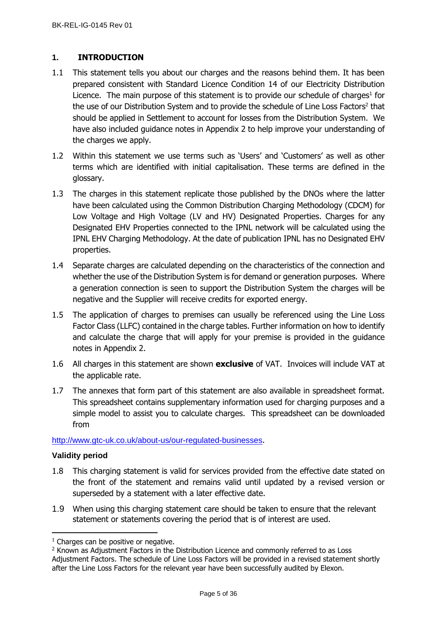# <span id="page-4-0"></span>**1. INTRODUCTION**

- 1.1 This statement tells you about our charges and the reasons behind them. It has been prepared consistent with Standard Licence Condition 14 of our Electricity Distribution Licence. The main purpose of this statement is to provide our schedule of charges<sup>1</sup> for the use of our Distribution System and to provide the schedule of Line Loss Factors<sup>2</sup> that should be applied in Settlement to account for losses from the Distribution System. We have also included guidance notes in Appendix 2 to help improve your understanding of the charges we apply.
- 1.2 Within this statement we use terms such as 'Users' and 'Customers' as well as other terms which are identified with initial capitalisation. These terms are defined in the glossary.
- 1.3 The charges in this statement replicate those published by the DNOs where the latter have been calculated using the Common Distribution Charging Methodology (CDCM) for Low Voltage and High Voltage (LV and HV) Designated Properties. Charges for any Designated EHV Properties connected to the IPNL network will be calculated using the IPNL EHV Charging Methodology. At the date of publication IPNL has no Designated EHV properties.
- 1.4 Separate charges are calculated depending on the characteristics of the connection and whether the use of the Distribution System is for demand or generation purposes. Where a generation connection is seen to support the Distribution System the charges will be negative and the Supplier will receive credits for exported energy.
- 1.5 The application of charges to premises can usually be referenced using the Line Loss Factor Class (LLFC) contained in the charge tables. Further information on how to identify and calculate the charge that will apply for your premise is provided in the guidance notes in Appendix 2.
- 1.6 All charges in this statement are shown **exclusive** of VAT. Invoices will include VAT at the applicable rate.
- 1.7 The annexes that form part of this statement are also available in spreadsheet format. This spreadsheet contains supplementary information used for charging purposes and a simple model to assist you to calculate charges. This spreadsheet can be downloaded from

<http://www.gtc-uk.co.uk/about-us/our-regulated-businesses>.

## <span id="page-4-1"></span>**Validity period**

- 1.8 This charging statement is valid for services provided from the effective date stated on the front of the statement and remains valid until updated by a revised version or superseded by a statement with a later effective date.
- 1.9 When using this charging statement care should be taken to ensure that the relevant statement or statements covering the period that is of interest are used.

<sup>&</sup>lt;sup>1</sup> Charges can be positive or negative.

<sup>&</sup>lt;sup>2</sup> Known as Adjustment Factors in the Distribution Licence and commonly referred to as Loss Adjustment Factors. The schedule of Line Loss Factors will be provided in a revised statement shortly after the Line Loss Factors for the relevant year have been successfully audited by Elexon.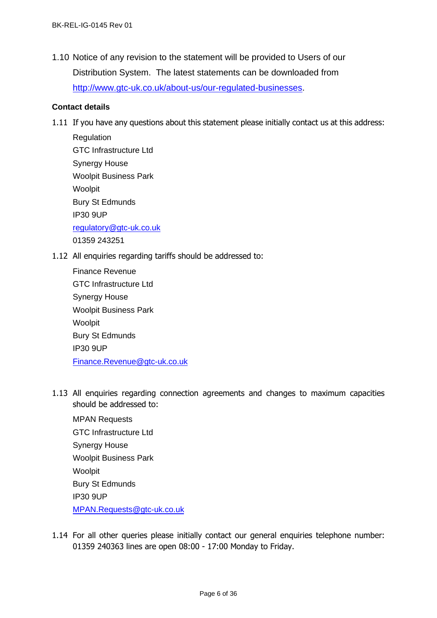1.10 Notice of any revision to the statement will be provided to Users of our Distribution System. The latest statements can be downloaded from [http://www.gtc-uk.co.uk/about-us/our-regulated-businesses.](http://www.gtc-uk.co.uk/about-us/our-regulated-businesses)

#### <span id="page-5-0"></span>**Contact details**

1.11 If you have any questions about this statement please initially contact us at this address:

**Regulation** GTC Infrastructure Ltd Synergy House Woolpit Business Park Woolpit Bury St Edmunds IP30 9UP [regulatory@gtc-uk.co.uk](mailto:regulatory@gtc-uk.co.uk) 01359 243251

1.12 All enquiries regarding tariffs should be addressed to:

| Finance Revenue               |
|-------------------------------|
| <b>GTC Infrastructure Ltd</b> |
| <b>Synergy House</b>          |
| <b>Woolpit Business Park</b>  |
| Woolpit                       |
| <b>Bury St Edmunds</b>        |
| <b>IP30 9UP</b>               |
| Finance.Revenue@gtc-uk.co.uk  |

1.13 All enquiries regarding connection agreements and changes to maximum capacities should be addressed to:

MPAN Requests GTC Infrastructure Ltd Synergy House Woolpit Business Park Woolpit Bury St Edmunds IP30 9UP [MPAN.Requests@gtc-uk.co.uk](file:///C:/Users/neil.brinkley/AppData/Local/Microsoft/Windows/INetCache/Content.Outlook/G1I01KIK/MPAN.Requests@gtc-uk.co.uk)

1.14 For all other queries please initially contact our general enquiries telephone number: 01359 240363 lines are open 08:00 - 17:00 Monday to Friday.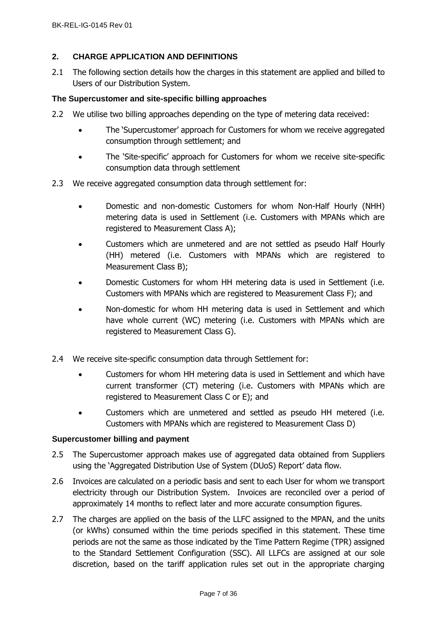## <span id="page-6-0"></span>**2. CHARGE APPLICATION AND DEFINITIONS**

2.1 The following section details how the charges in this statement are applied and billed to Users of our Distribution System.

## <span id="page-6-1"></span>**The Supercustomer and site-specific billing approaches**

- 2.2 We utilise two billing approaches depending on the type of metering data received:
	- The 'Supercustomer' approach for Customers for whom we receive aggregated consumption through settlement; and
	- The 'Site-specific' approach for Customers for whom we receive site-specific consumption data through settlement
- 2.3 We receive aggregated consumption data through settlement for:
	- Domestic and non-domestic Customers for whom Non-Half Hourly (NHH) metering data is used in Settlement (i.e. Customers with MPANs which are registered to Measurement Class A);
	- Customers which are unmetered and are not settled as pseudo Half Hourly (HH) metered (i.e. Customers with MPANs which are registered to Measurement Class B);
	- Domestic Customers for whom HH metering data is used in Settlement (i.e. Customers with MPANs which are registered to Measurement Class F); and
	- Non-domestic for whom HH metering data is used in Settlement and which have whole current (WC) metering (i.e. Customers with MPANs which are registered to Measurement Class G).
- 2.4 We receive site-specific consumption data through Settlement for:
	- Customers for whom HH metering data is used in Settlement and which have current transformer (CT) metering (i.e. Customers with MPANs which are registered to Measurement Class C or E); and
	- Customers which are unmetered and settled as pseudo HH metered (i.e. Customers with MPANs which are registered to Measurement Class D)

## <span id="page-6-2"></span>**Supercustomer billing and payment**

- 2.5 The Supercustomer approach makes use of aggregated data obtained from Suppliers using the 'Aggregated Distribution Use of System (DUoS) Report' data flow.
- 2.6 Invoices are calculated on a periodic basis and sent to each User for whom we transport electricity through our Distribution System. Invoices are reconciled over a period of approximately 14 months to reflect later and more accurate consumption figures.
- 2.7 The charges are applied on the basis of the LLFC assigned to the MPAN, and the units (or kWhs) consumed within the time periods specified in this statement. These time periods are not the same as those indicated by the Time Pattern Regime (TPR) assigned to the Standard Settlement Configuration (SSC). All LLFCs are assigned at our sole discretion, based on the tariff application rules set out in the appropriate charging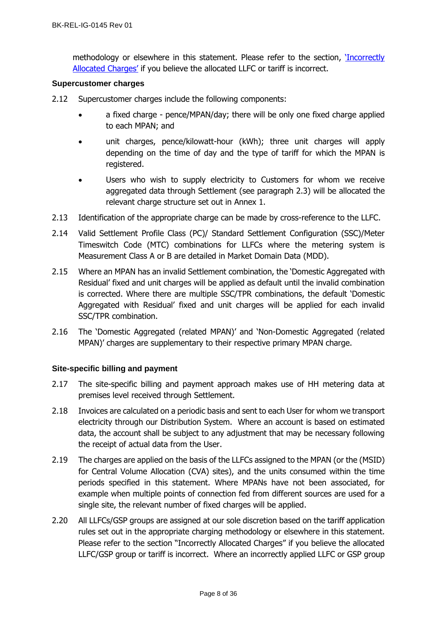methodology or elsewhere in this statement. Please refer to the section, '[Incorrectly](#page-12-0)  [Allocated Charges'](#page-12-0) if you believe the allocated LLFC or tariff is incorrect.

## <span id="page-7-0"></span>**Supercustomer charges**

- 2.12 Supercustomer charges include the following components:
	- a fixed charge pence/MPAN/day; there will be only one fixed charge applied to each MPAN; and
	- unit charges, pence/kilowatt-hour (kWh); three unit charges will apply depending on the time of day and the type of tariff for which the MPAN is registered.
	- Users who wish to supply electricity to Customers for whom we receive aggregated data through Settlement (see paragraph 2.3) will be allocated the relevant charge structure set out in Annex 1.
- 2.13 Identification of the appropriate charge can be made by cross-reference to the LLFC.
- 2.14 Valid Settlement Profile Class (PC)/ Standard Settlement Configuration (SSC)/Meter Timeswitch Code (MTC) combinations for LLFCs where the metering system is Measurement Class A or B are detailed in Market Domain Data (MDD).
- 2.15 Where an MPAN has an invalid Settlement combination, the 'Domestic Aggregated with Residual' fixed and unit charges will be applied as default until the invalid combination is corrected. Where there are multiple SSC/TPR combinations, the default 'Domestic Aggregated with Residual' fixed and unit charges will be applied for each invalid SSC/TPR combination.
- 2.16 The 'Domestic Aggregated (related MPAN)' and 'Non-Domestic Aggregated (related MPAN)' charges are supplementary to their respective primary MPAN charge.

## <span id="page-7-1"></span>**Site-specific billing and payment**

- 2.17 The site-specific billing and payment approach makes use of HH metering data at premises level received through Settlement.
- 2.18 Invoices are calculated on a periodic basis and sent to each User for whom we transport electricity through our Distribution System. Where an account is based on estimated data, the account shall be subject to any adjustment that may be necessary following the receipt of actual data from the User.
- 2.19 The charges are applied on the basis of the LLFCs assigned to the MPAN (or the (MSID) for Central Volume Allocation (CVA) sites), and the units consumed within the time periods specified in this statement. Where MPANs have not been associated, for example when multiple points of connection fed from different sources are used for a single site, the relevant number of fixed charges will be applied.
- 2.20 All LLFCs/GSP groups are assigned at our sole discretion based on the tariff application rules set out in the appropriate charging methodology or elsewhere in this statement. Please refer to the section "Incorrectly Allocated Charges" if you believe the allocated LLFC/GSP group or tariff is incorrect. Where an incorrectly applied LLFC or GSP group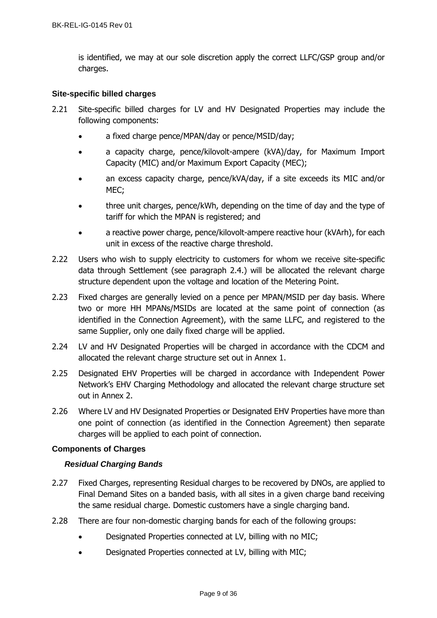is identified, we may at our sole discretion apply the correct LLFC/GSP group and/or charges.

## <span id="page-8-0"></span>**Site-specific billed charges**

- 2.21 Site-specific billed charges for LV and HV Designated Properties may include the following components:
	- a fixed charge pence/MPAN/day or pence/MSID/day;
	- a capacity charge, pence/kilovolt-ampere (kVA)/day, for Maximum Import Capacity (MIC) and/or Maximum Export Capacity (MEC);
	- an excess capacity charge, pence/kVA/day, if a site exceeds its MIC and/or MEC;
	- three unit charges, pence/kWh, depending on the time of day and the type of tariff for which the MPAN is registered; and
	- a reactive power charge, pence/kilovolt-ampere reactive hour (kVArh), for each unit in excess of the reactive charge threshold.
- 2.22 Users who wish to supply electricity to customers for whom we receive site-specific data through Settlement (see paragraph 2.4.) will be allocated the relevant charge structure dependent upon the voltage and location of the Metering Point.
- 2.23 Fixed charges are generally levied on a pence per MPAN/MSID per day basis. Where two or more HH MPANs/MSIDs are located at the same point of connection (as identified in the Connection Agreement), with the same LLFC, and registered to the same Supplier, only one daily fixed charge will be applied.
- 2.24 LV and HV Designated Properties will be charged in accordance with the CDCM and allocated the relevant charge structure set out in Annex 1.
- 2.25 Designated EHV Properties will be charged in accordance with Independent Power Network's EHV Charging Methodology and allocated the relevant charge structure set out in Annex 2.
- 2.26 Where LV and HV Designated Properties or Designated EHV Properties have more than one point of connection (as identified in the Connection Agreement) then separate charges will be applied to each point of connection.

## **Components of Charges**

## *Residual Charging Bands*

- 2.27 Fixed Charges, representing Residual charges to be recovered by DNOs, are applied to Final Demand Sites on a banded basis, with all sites in a given charge band receiving the same residual charge. Domestic customers have a single charging band.
- 2.28 There are four non-domestic charging bands for each of the following groups:
	- Designated Properties connected at LV, billing with no MIC;
	- Designated Properties connected at LV, billing with MIC;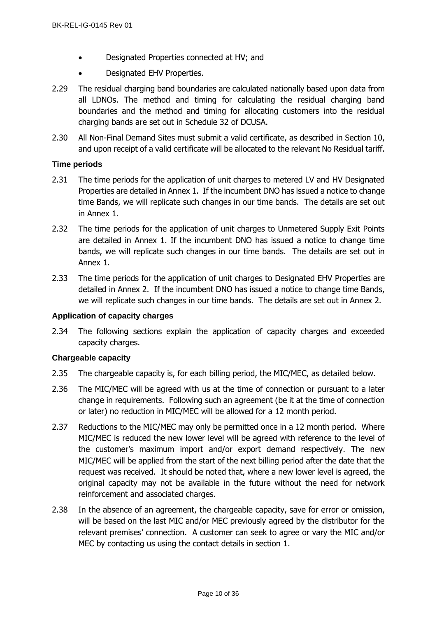- Designated Properties connected at HV; and
- Designated EHV Properties.
- 2.29 The residual charging band boundaries are calculated nationally based upon data from all LDNOs. The method and timing for calculating the residual charging band boundaries and the method and timing for allocating customers into the residual charging bands are set out in Schedule 32 of DCUSA.
- 2.30 All Non-Final Demand Sites must submit a valid certificate, as described in Section 10, and upon receipt of a valid certificate will be allocated to the relevant No Residual tariff.

## <span id="page-9-0"></span>**Time periods**

- 2.31 The time periods for the application of unit charges to metered LV and HV Designated Properties are detailed in Annex 1. If the incumbent DNO has issued a notice to change time Bands, we will replicate such changes in our time bands. The details are set out in Annex 1.
- 2.32 The time periods for the application of unit charges to Unmetered Supply Exit Points are detailed in Annex 1. If the incumbent DNO has issued a notice to change time bands, we will replicate such changes in our time bands. The details are set out in Annex 1.
- 2.33 The time periods for the application of unit charges to Designated EHV Properties are detailed in Annex 2. If the incumbent DNO has issued a notice to change time Bands, we will replicate such changes in our time bands. The details are set out in Annex 2.

## <span id="page-9-1"></span>**Application of capacity charges**

2.34 The following sections explain the application of capacity charges and exceeded capacity charges.

## <span id="page-9-2"></span>**Chargeable capacity**

- 2.35 The chargeable capacity is, for each billing period, the MIC/MEC, as detailed below.
- 2.36 The MIC/MEC will be agreed with us at the time of connection or pursuant to a later change in requirements. Following such an agreement (be it at the time of connection or later) no reduction in MIC/MEC will be allowed for a 12 month period.
- 2.37 Reductions to the MIC/MEC may only be permitted once in a 12 month period. Where MIC/MEC is reduced the new lower level will be agreed with reference to the level of the customer's maximum import and/or export demand respectively. The new MIC/MEC will be applied from the start of the next billing period after the date that the request was received. It should be noted that, where a new lower level is agreed, the original capacity may not be available in the future without the need for network reinforcement and associated charges.
- 2.38 In the absence of an agreement, the chargeable capacity, save for error or omission, will be based on the last MIC and/or MEC previously agreed by the distributor for the relevant premises' connection. A customer can seek to agree or vary the MIC and/or MEC by contacting us using the contact details in section [1.](#page-4-0)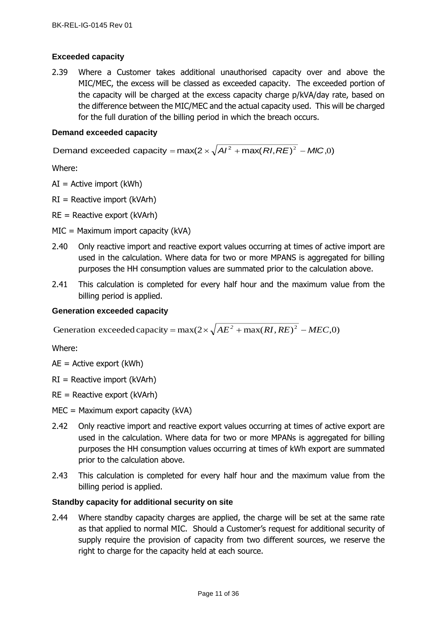## <span id="page-10-0"></span>**Exceeded capacity**

2.39 Where a Customer takes additional unauthorised capacity over and above the MIC/MEC, the excess will be classed as exceeded capacity. The exceeded portion of the capacity will be charged at the excess capacity charge p/kVA/day rate, based on the difference between the MIC/MEC and the actual capacity used. This will be charged for the full duration of the billing period in which the breach occurs.

## <span id="page-10-1"></span>**Demand exceeded capacity**

Demand exceeded capacity = max(2  $\times$   $\sqrt{{\cal A} I^2}$  + max(  ${\cal R} I, {\cal R} E)^2$  *– MIC*,0)

Where:

- $AI =$  Active import (kWh)
- $RI =$  Reactive import (kVArh)
- RE = Reactive export (kVArh)
- MIC = Maximum import capacity (kVA)
- 2.40 Only reactive import and reactive export values occurring at times of active import are used in the calculation. Where data for two or more MPANS is aggregated for billing purposes the HH consumption values are summated prior to the calculation above.
- 2.41 This calculation is completed for every half hour and the maximum value from the billing period is applied.

## <span id="page-10-2"></span>**Generation exceeded capacity**

Generation exceeded capacity =  $max(2 \times \sqrt{AE^2 + max(RI, RE)^2 - MEC, 0})$ 

Where:

- $AE =$  Active export (kWh)
- $RI =$  Reactive import (kVArh)
- $RE =$  Reactive export (kVArh)
- MEC = Maximum export capacity (kVA)
- 2.42 Only reactive import and reactive export values occurring at times of active export are used in the calculation. Where data for two or more MPANs is aggregated for billing purposes the HH consumption values occurring at times of kWh export are summated prior to the calculation above.
- 2.43 This calculation is completed for every half hour and the maximum value from the billing period is applied.

## <span id="page-10-3"></span>**Standby capacity for additional security on site**

2.44 Where standby capacity charges are applied, the charge will be set at the same rate as that applied to normal MIC. Should a Customer's request for additional security of supply require the provision of capacity from two different sources, we reserve the right to charge for the capacity held at each source.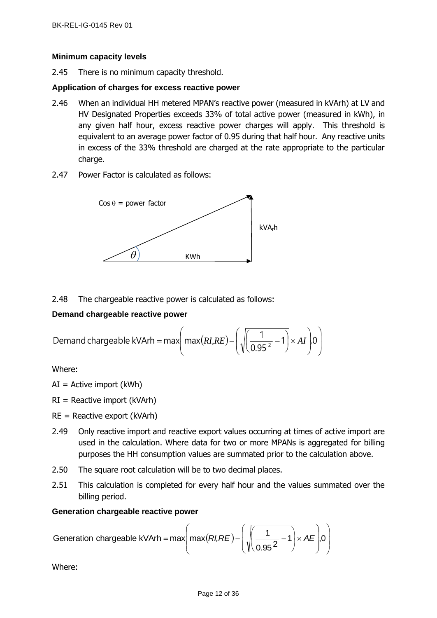## <span id="page-11-0"></span>**Minimum capacity levels**

2.45 There is no minimum capacity threshold.

## <span id="page-11-1"></span>**Application of charges for excess reactive power**

- 2.46 When an individual HH metered MPAN's reactive power (measured in kVArh) at LV and HV Designated Properties exceeds 33% of total active power (measured in kWh), in any given half hour, excess reactive power charges will apply. This threshold is equivalent to an average power factor of 0.95 during that half hour. Any reactive units in excess of the 33% threshold are charged at the rate appropriate to the particular charge.
- 2.47 Power Factor is calculated as follows:



## 2.48 The chargeable reactive power is calculated as follows:

## <span id="page-11-2"></span>**Demand chargeable reactive power**

Demand chargeable kVArh = max
$$
\left(\max(RI,RE) - \left(\sqrt{\left(\frac{1}{0.95^2} - 1\right)} \times AI\right)0\right)
$$

Where:

- $AI =$  Active import (kWh)
- $RI =$  Reactive import (kVArh)
- $RE =$  Reactive export (kVArh)
- 2.49 Only reactive import and reactive export values occurring at times of active import are used in the calculation. Where data for two or more MPANs is aggregated for billing purposes the HH consumption values are summated prior to the calculation above.
- 2.50 The square root calculation will be to two decimal places.
- 2.51 This calculation is completed for every half hour and the values summated over the billing period.

## <span id="page-11-3"></span>**Generation chargeable reactive power**

Generation chargeable kVArh = max
$$
\left( max(RI,RE) - \left( \sqrt{\frac{1}{0.95^2} - 1} \right) \times AE \right)
$$
, 0

Where: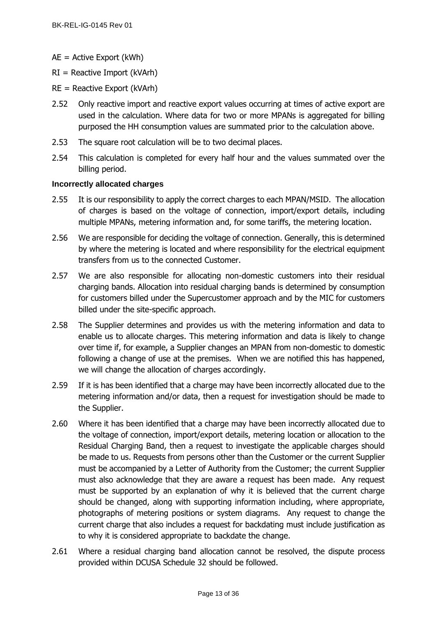- AE = Active Export (kWh)
- $RI =$  Reactive Import (kVArh)
- $RE =$  Reactive Export (kVArh)
- 2.52 Only reactive import and reactive export values occurring at times of active export are used in the calculation. Where data for two or more MPANs is aggregated for billing purposed the HH consumption values are summated prior to the calculation above.
- 2.53 The square root calculation will be to two decimal places.
- 2.54 This calculation is completed for every half hour and the values summated over the billing period.

## <span id="page-12-0"></span>**Incorrectly allocated charges**

- 2.55 It is our responsibility to apply the correct charges to each MPAN/MSID. The allocation of charges is based on the voltage of connection, import/export details, including multiple MPANs, metering information and, for some tariffs, the metering location.
- 2.56 We are responsible for deciding the voltage of connection. Generally, this is determined by where the metering is located and where responsibility for the electrical equipment transfers from us to the connected Customer.
- 2.57 We are also responsible for allocating non-domestic customers into their residual charging bands. Allocation into residual charging bands is determined by consumption for customers billed under the Supercustomer approach and by the MIC for customers billed under the site-specific approach.
- 2.58 The Supplier determines and provides us with the metering information and data to enable us to allocate charges. This metering information and data is likely to change over time if, for example, a Supplier changes an MPAN from non-domestic to domestic following a change of use at the premises. When we are notified this has happened, we will change the allocation of charges accordingly.
- 2.59 If it is has been identified that a charge may have been incorrectly allocated due to the metering information and/or data, then a request for investigation should be made to the Supplier.
- 2.60 Where it has been identified that a charge may have been incorrectly allocated due to the voltage of connection, import/export details, metering location or allocation to the Residual Charging Band, then a request to investigate the applicable charges should be made to us. Requests from persons other than the Customer or the current Supplier must be accompanied by a Letter of Authority from the Customer; the current Supplier must also acknowledge that they are aware a request has been made. Any request must be supported by an explanation of why it is believed that the current charge should be changed, along with supporting information including, where appropriate, photographs of metering positions or system diagrams. Any request to change the current charge that also includes a request for backdating must include justification as to why it is considered appropriate to backdate the change.
- 2.61 Where a residual charging band allocation cannot be resolved, the dispute process provided within DCUSA Schedule 32 should be followed.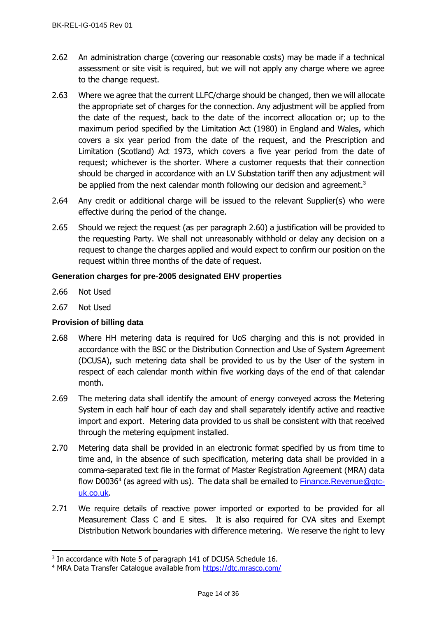- 2.62 An administration charge (covering our reasonable costs) may be made if a technical assessment or site visit is required, but we will not apply any charge where we agree to the change request.
- 2.63 Where we agree that the current LLFC/charge should be changed, then we will allocate the appropriate set of charges for the connection. Any adjustment will be applied from the date of the request, back to the date of the incorrect allocation or; up to the maximum period specified by the Limitation Act (1980) in England and Wales, which covers a six year period from the date of the request, and the Prescription and Limitation (Scotland) Act 1973, which covers a five year period from the date of request; whichever is the shorter. Where a customer requests that their connection should be charged in accordance with an LV Substation tariff then any adjustment will be applied from the next calendar month following our decision and agreement. $3$
- 2.64 Any credit or additional charge will be issued to the relevant Supplier(s) who were effective during the period of the change.
- 2.65 Should we reject the request (as per paragraph 2.60) a justification will be provided to the requesting Party. We shall not unreasonably withhold or delay any decision on a request to change the charges applied and would expect to confirm our position on the request within three months of the date of request.

# <span id="page-13-0"></span>**Generation charges for pre-2005 designated EHV properties**

- 2.66 Not Used
- 2.67 Not Used

## <span id="page-13-1"></span>**Provision of billing data**

- 2.68 Where HH metering data is required for UoS charging and this is not provided in accordance with the BSC or the Distribution Connection and Use of System Agreement (DCUSA), such metering data shall be provided to us by the User of the system in respect of each calendar month within five working days of the end of that calendar month.
- 2.69 The metering data shall identify the amount of energy conveyed across the Metering System in each half hour of each day and shall separately identify active and reactive import and export. Metering data provided to us shall be consistent with that received through the metering equipment installed.
- 2.70 Metering data shall be provided in an electronic format specified by us from time to time and, in the absence of such specification, metering data shall be provided in a comma-separated text file in the format of Master Registration Agreement (MRA) data flow D0036<sup>4</sup> (as agreed with us). The data shall be emailed to **[Finance.Revenue@gtc](mailto:Finance.Revenue@gtc-uk.co.uk)**[uk.co.uk](mailto:Finance.Revenue@gtc-uk.co.uk).
- 2.71 We require details of reactive power imported or exported to be provided for all Measurement Class C and E sites. It is also required for CVA sites and Exempt Distribution Network boundaries with difference metering. We reserve the right to levy

<sup>&</sup>lt;sup>3</sup> In accordance with Note 5 of paragraph 141 of DCUSA Schedule 16.

<sup>&</sup>lt;sup>4</sup> MRA Data Transfer Catalogue available from<https://dtc.mrasco.com/>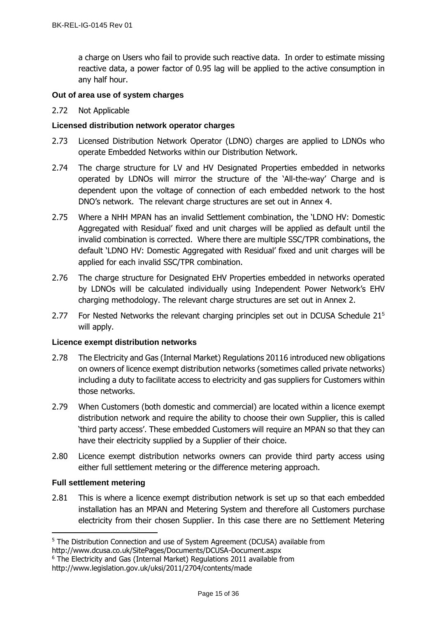a charge on Users who fail to provide such reactive data. In order to estimate missing reactive data, a power factor of 0.95 lag will be applied to the active consumption in any half hour.

## <span id="page-14-0"></span>**Out of area use of system charges**

## 2.72 Not Applicable

## <span id="page-14-1"></span>**Licensed distribution network operator charges**

- 2.73 Licensed Distribution Network Operator (LDNO) charges are applied to LDNOs who operate Embedded Networks within our Distribution Network.
- 2.74 The charge structure for LV and HV Designated Properties embedded in networks operated by LDNOs will mirror the structure of the 'All-the-way' Charge and is dependent upon the voltage of connection of each embedded network to the host DNO's network. The relevant charge structures are set out in Annex 4.
- 2.75 Where a NHH MPAN has an invalid Settlement combination, the 'LDNO HV: Domestic Aggregated with Residual' fixed and unit charges will be applied as default until the invalid combination is corrected. Where there are multiple SSC/TPR combinations, the default 'LDNO HV: Domestic Aggregated with Residual' fixed and unit charges will be applied for each invalid SSC/TPR combination.
- 2.76 The charge structure for Designated EHV Properties embedded in networks operated by LDNOs will be calculated individually using Independent Power Network's EHV charging methodology. The relevant charge structures are set out in Annex 2.
- 2.77 For Nested Networks the relevant charging principles set out in DCUSA Schedule 21<sup>5</sup> will apply.

## <span id="page-14-2"></span>**Licence exempt distribution networks**

- 2.78 The Electricity and Gas (Internal Market) Regulations 20116 introduced new obligations on owners of licence exempt distribution networks (sometimes called private networks) including a duty to facilitate access to electricity and gas suppliers for Customers within those networks.
- 2.79 When Customers (both domestic and commercial) are located within a licence exempt distribution network and require the ability to choose their own Supplier, this is called 'third party access'. These embedded Customers will require an MPAN so that they can have their electricity supplied by a Supplier of their choice.
- 2.80 Licence exempt distribution networks owners can provide third party access using either full settlement metering or the difference metering approach.

## <span id="page-14-3"></span>**Full settlement metering**

2.81 This is where a licence exempt distribution network is set up so that each embedded installation has an MPAN and Metering System and therefore all Customers purchase electricity from their chosen Supplier. In this case there are no Settlement Metering

<sup>&</sup>lt;sup>5</sup> The Distribution Connection and use of System Agreement (DCUSA) available from

http://www.dcusa.co.uk/SitePages/Documents/DCUSA-Document.aspx

<sup>&</sup>lt;sup>6</sup> The Electricity and Gas (Internal Market) Regulations 2011 available from

http://www.legislation.gov.uk/uksi/2011/2704/contents/made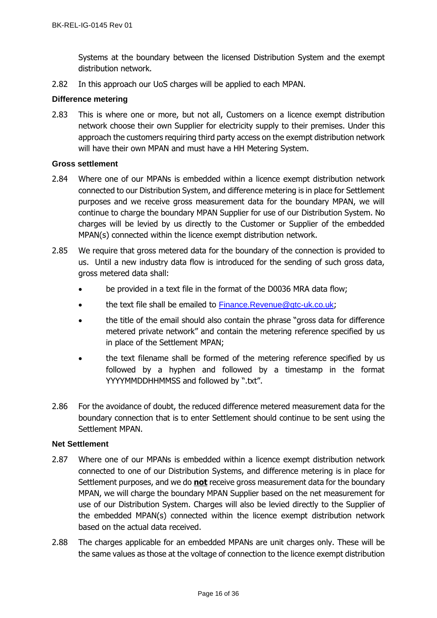Systems at the boundary between the licensed Distribution System and the exempt distribution network.

2.82 In this approach our UoS charges will be applied to each MPAN.

## <span id="page-15-0"></span>**Difference metering**

2.83 This is where one or more, but not all, Customers on a licence exempt distribution network choose their own Supplier for electricity supply to their premises. Under this approach the customers requiring third party access on the exempt distribution network will have their own MPAN and must have a HH Metering System.

## <span id="page-15-1"></span>**Gross settlement**

- 2.84 Where one of our MPANs is embedded within a licence exempt distribution network connected to our Distribution System, and difference metering is in place for Settlement purposes and we receive gross measurement data for the boundary MPAN, we will continue to charge the boundary MPAN Supplier for use of our Distribution System. No charges will be levied by us directly to the Customer or Supplier of the embedded MPAN(s) connected within the licence exempt distribution network.
- 2.85 We require that gross metered data for the boundary of the connection is provided to us. Until a new industry data flow is introduced for the sending of such gross data, gross metered data shall:
	- be provided in a text file in the format of the D0036 MRA data flow;
	- the text file shall be emailed to [Finance.Revenue@gtc-uk.co.uk](mailto:Finance.Revenue@gtc-uk.co.uk);
	- the title of the email should also contain the phrase "gross data for difference metered private network" and contain the metering reference specified by us in place of the Settlement MPAN;
	- the text filename shall be formed of the metering reference specified by us followed by a hyphen and followed by a timestamp in the format YYYYMMDDHHMMSS and followed by ".txt".
- 2.86 For the avoidance of doubt, the reduced difference metered measurement data for the boundary connection that is to enter Settlement should continue to be sent using the Settlement MPAN.

## <span id="page-15-2"></span>**Net Settlement**

- 2.87 Where one of our MPANs is embedded within a licence exempt distribution network connected to one of our Distribution Systems, and difference metering is in place for Settlement purposes, and we do **not** receive gross measurement data for the boundary MPAN, we will charge the boundary MPAN Supplier based on the net measurement for use of our Distribution System. Charges will also be levied directly to the Supplier of the embedded MPAN(s) connected within the licence exempt distribution network based on the actual data received.
- 2.88 The charges applicable for an embedded MPANs are unit charges only. These will be the same values as those at the voltage of connection to the licence exempt distribution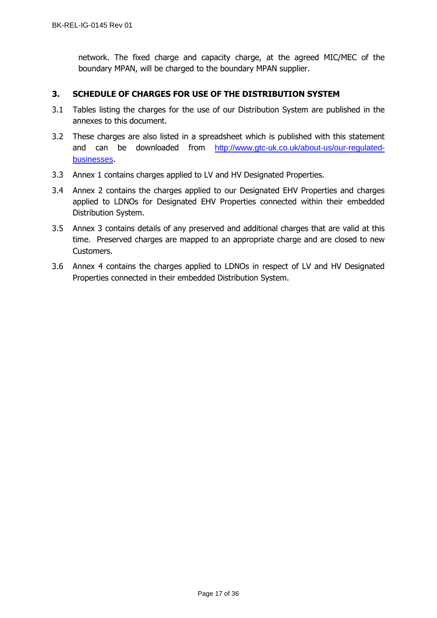network. The fixed charge and capacity charge, at the agreed MIC/MEC of the boundary MPAN, will be charged to the boundary MPAN supplier.

## <span id="page-16-0"></span>**3. SCHEDULE OF CHARGES FOR USE OF THE DISTRIBUTION SYSTEM**

- 3.1 Tables listing the charges for the use of our Distribution System are published in the annexes to this document.
- 3.2 These charges are also listed in a spreadsheet which is published with this statement and can be downloaded from [http://www.gtc-uk.co.uk/about-us/our-regulated](http://www.gtc-uk.co.uk/about-us/our-regulated-businesses)[businesses](http://www.gtc-uk.co.uk/about-us/our-regulated-businesses).
- 3.3 Annex 1 contains charges applied to LV and HV Designated Properties.
- 3.4 Annex 2 contains the charges applied to our Designated EHV Properties and charges applied to LDNOs for Designated EHV Properties connected within their embedded Distribution System.
- 3.5 Annex 3 contains details of any preserved and additional charges that are valid at this time. Preserved charges are mapped to an appropriate charge and are closed to new Customers.
- 3.6 Annex 4 contains the charges applied to LDNOs in respect of LV and HV Designated Properties connected in their embedded Distribution System.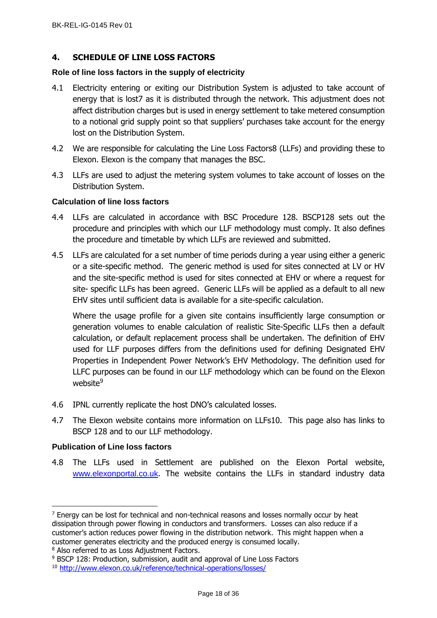## <span id="page-17-0"></span>**4. SCHEDULE OF LINE LOSS FACTORS**

#### <span id="page-17-1"></span>**Role of line loss factors in the supply of electricity**

- 4.1 Electricity entering or exiting our Distribution System is adjusted to take account of energy that is lost7 as it is distributed through the network. This adjustment does not affect distribution charges but is used in energy settlement to take metered consumption to a notional grid supply point so that suppliers' purchases take account for the energy lost on the Distribution System.
- 4.2 We are responsible for calculating the Line Loss Factors8 (LLFs) and providing these to Elexon. Elexon is the company that manages the BSC.
- 4.3 LLFs are used to adjust the metering system volumes to take account of losses on the Distribution System.

## <span id="page-17-2"></span>**Calculation of line loss factors**

- 4.4 LLFs are calculated in accordance with BSC Procedure 128. BSCP128 sets out the procedure and principles with which our LLF methodology must comply. It also defines the procedure and timetable by which LLFs are reviewed and submitted.
- 4.5 LLFs are calculated for a set number of time periods during a year using either a generic or a site-specific method. The generic method is used for sites connected at LV or HV and the site-specific method is used for sites connected at EHV or where a request for site- specific LLFs has been agreed. Generic LLFs will be applied as a default to all new EHV sites until sufficient data is available for a site-specific calculation.

Where the usage profile for a given site contains insufficiently large consumption or generation volumes to enable calculation of realistic Site-Specific LLFs then a default calculation, or default replacement process shall be undertaken. The definition of EHV used for LLF purposes differs from the definitions used for defining Designated EHV Properties in Independent Power Network's EHV Methodology. The definition used for LLFC purposes can be found in our LLF methodology which can be found on the Elexon website<sup>9</sup>

- 4.6 IPNL currently replicate the host DNO's calculated losses.
- 4.7 The Elexon website contains more information on LLFs10. This page also has links to BSCP 128 and to our LLF methodology.

## <span id="page-17-3"></span>**Publication of Line loss factors**

4.8 The LLFs used in Settlement are published on the Elexon Portal website, [www.elexonportal.co.uk](http://www.elexonportal.co.uk/). The website contains the LLFs in standard industry data

 $<sup>7</sup>$  Energy can be lost for technical and non-technical reasons and losses normally occur by heat</sup> dissipation through power flowing in conductors and transformers. Losses can also reduce if a customer's action reduces power flowing in the distribution network. This might happen when a customer generates electricity and the produced energy is consumed locally.

<sup>8</sup> Also referred to as Loss Adjustment Factors.

<sup>&</sup>lt;sup>9</sup> BSCP 128: Production, submission, audit and approval of Line Loss Factors

<sup>10</sup> <http://www.elexon.co.uk/reference/technical-operations/losses/>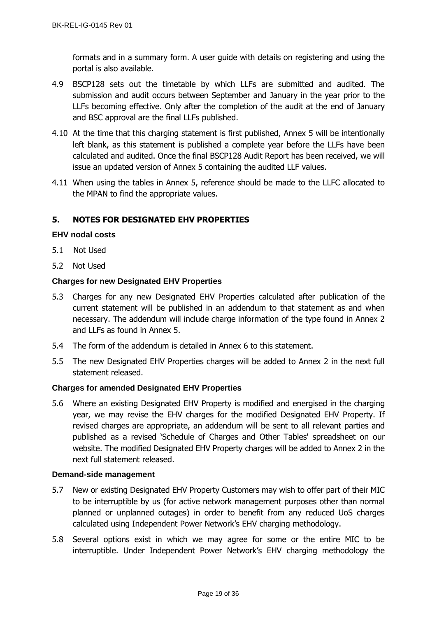formats and in a summary form. A user guide with details on registering and using the portal is also available.

- 4.9 BSCP128 sets out the timetable by which LLFs are submitted and audited. The submission and audit occurs between September and January in the year prior to the LLFs becoming effective. Only after the completion of the audit at the end of January and BSC approval are the final LLFs published.
- 4.10 At the time that this charging statement is first published, Annex 5 will be intentionally left blank, as this statement is published a complete year before the LLFs have been calculated and audited. Once the final BSCP128 Audit Report has been received, we will issue an updated version of Annex 5 containing the audited LLF values.
- 4.11 When using the tables in Annex 5, reference should be made to the LLFC allocated to the MPAN to find the appropriate values.

## <span id="page-18-0"></span>**5. NOTES FOR DESIGNATED EHV PROPERTIES**

## <span id="page-18-1"></span>**EHV nodal costs**

- 5.1 Not Used
- 5.2 Not Used

## <span id="page-18-2"></span>**Charges for new Designated EHV Properties**

- 5.3 Charges for any new Designated EHV Properties calculated after publication of the current statement will be published in an addendum to that statement as and when necessary. The addendum will include charge information of the type found in Annex 2 and LLFs as found in Annex 5.
- 5.4 The form of the addendum is detailed in Annex 6 to this statement.
- 5.5 The new Designated EHV Properties charges will be added to Annex 2 in the next full statement released.

## <span id="page-18-3"></span>**Charges for amended Designated EHV Properties**

5.6 Where an existing Designated EHV Property is modified and energised in the charging year, we may revise the EHV charges for the modified Designated EHV Property. If revised charges are appropriate, an addendum will be sent to all relevant parties and published as a revised 'Schedule of Charges and Other Tables' spreadsheet on our website. The modified Designated EHV Property charges will be added to Annex 2 in the next full statement released.

## <span id="page-18-4"></span>**Demand-side management**

- 5.7 New or existing Designated EHV Property Customers may wish to offer part of their MIC to be interruptible by us (for active network management purposes other than normal planned or unplanned outages) in order to benefit from any reduced UoS charges calculated using Independent Power Network's EHV charging methodology.
- 5.8 Several options exist in which we may agree for some or the entire MIC to be interruptible. Under Independent Power Network's EHV charging methodology the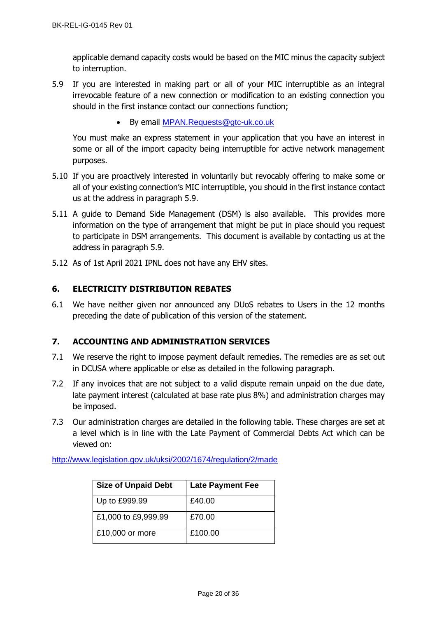applicable demand capacity costs would be based on the MIC minus the capacity subject to interruption.

- 5.9 If you are interested in making part or all of your MIC interruptible as an integral irrevocable feature of a new connection or modification to an existing connection you should in the first instance contact our connections function;
	- By email [MPAN.Requests@gtc-uk.co.uk](mailto:MPAN.Requests@gtc-uk.co.uk)

You must make an express statement in your application that you have an interest in some or all of the import capacity being interruptible for active network management purposes.

- 5.10 If you are proactively interested in voluntarily but revocably offering to make some or all of your existing connection's MIC interruptible, you should in the first instance contact us at the address in paragraph 5.9.
- 5.11 A guide to Demand Side Management (DSM) is also available. This provides more information on the type of arrangement that might be put in place should you request to participate in DSM arrangements. This document is available by contacting us at the address in paragraph 5.9.
- 5.12 As of 1st April 2021 IPNL does not have any EHV sites.

## <span id="page-19-0"></span>**6. ELECTRICITY DISTRIBUTION REBATES**

6.1 We have neither given nor announced any DUoS rebates to Users in the 12 months preceding the date of publication of this version of the statement.

## <span id="page-19-1"></span>**7. ACCOUNTING AND ADMINISTRATION SERVICES**

- 7.1 We reserve the right to impose payment default remedies. The remedies are as set out in DCUSA where applicable or else as detailed in the following paragraph.
- 7.2 If any invoices that are not subject to a valid dispute remain unpaid on the due date, late payment interest (calculated at base rate plus 8%) and administration charges may be imposed.
- 7.3 Our administration charges are detailed in the following table. These charges are set at a level which is in line with the Late Payment of Commercial Debts Act which can be viewed on:

<http://www.legislation.gov.uk/uksi/2002/1674/regulation/2/made>

| <b>Size of Unpaid Debt</b> | <b>Late Payment Fee</b> |
|----------------------------|-------------------------|
| Up to £999.99              | £40.00                  |
| £1,000 to £9,999.99        | £70.00                  |
| £10,000 or more            | £100.00                 |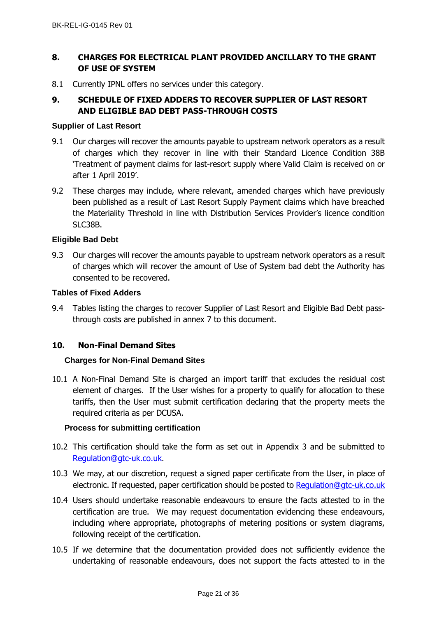# <span id="page-20-0"></span>**8. CHARGES FOR ELECTRICAL PLANT PROVIDED ANCILLARY TO THE GRANT OF USE OF SYSTEM**

8.1 Currently IPNL offers no services under this category.

# <span id="page-20-1"></span>**9. SCHEDULE OF FIXED ADDERS TO RECOVER SUPPLIER OF LAST RESORT AND ELIGIBLE BAD DEBT PASS-THROUGH COSTS**

#### <span id="page-20-2"></span>**Supplier of Last Resort**

- 9.1 Our charges will recover the amounts payable to upstream network operators as a result of charges which they recover in line with their Standard Licence Condition 38B 'Treatment of payment claims for last-resort supply where Valid Claim is received on or after 1 April 2019'.
- 9.2 These charges may include, where relevant, amended charges which have previously been published as a result of Last Resort Supply Payment claims which have breached the Materiality Threshold in line with Distribution Services Provider's licence condition SLC38B.

## <span id="page-20-3"></span>**Eligible Bad Debt**

9.3 Our charges will recover the amounts payable to upstream network operators as a result of charges which will recover the amount of Use of System bad debt the Authority has consented to be recovered.

#### <span id="page-20-4"></span>**Tables of Fixed Adders**

9.4 Tables listing the charges to recover Supplier of Last Resort and Eligible Bad Debt passthrough costs are published in annex 7 to this document.

## **10. Non-Final Demand Sites**

## **Charges for Non-Final Demand Sites**

10.1 A Non-Final Demand Site is charged an import tariff that excludes the residual cost element of charges. If the User wishes for a property to qualify for allocation to these tariffs, then the User must submit certification declaring that the property meets the required criteria as per DCUSA.

## **Process for submitting certification**

- 10.2 This certification should take the form as set out in Appendix 3 and be submitted to [Regulation@gtc-uk.co.uk.](mailto:Regulation@gtc-uk.co.uk)
- 10.3 We may, at our discretion, request a signed paper certificate from the User, in place of electronic. If requested, paper certification should be posted to [Regulation@gtc-uk.co.uk](mailto:Regulation@gtc-uk.co.uk)
- 10.4 Users should undertake reasonable endeavours to ensure the facts attested to in the certification are true. We may request documentation evidencing these endeavours, including where appropriate, photographs of metering positions or system diagrams, following receipt of the certification.
- 10.5 If we determine that the documentation provided does not sufficiently evidence the undertaking of reasonable endeavours, does not support the facts attested to in the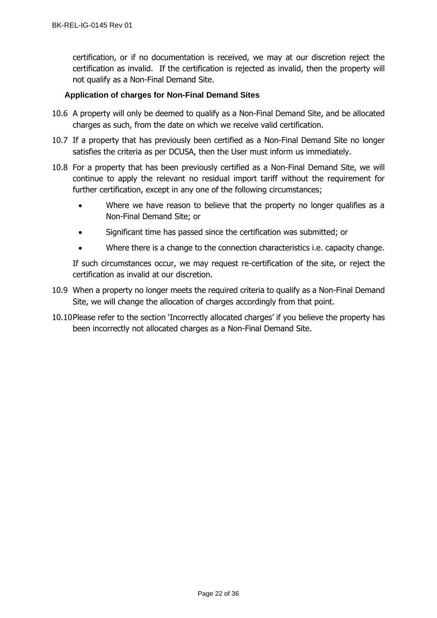certification, or if no documentation is received, we may at our discretion reject the certification as invalid. If the certification is rejected as invalid, then the property will not qualify as a Non-Final Demand Site.

## **Application of charges for Non-Final Demand Sites**

- 10.6 A property will only be deemed to qualify as a Non-Final Demand Site, and be allocated charges as such, from the date on which we receive valid certification.
- 10.7 If a property that has previously been certified as a Non-Final Demand Site no longer satisfies the criteria as per DCUSA, then the User must inform us immediately.
- 10.8 For a property that has been previously certified as a Non-Final Demand Site, we will continue to apply the relevant no residual import tariff without the requirement for further certification, except in any one of the following circumstances;
	- Where we have reason to believe that the property no longer qualifies as a Non-Final Demand Site; or
	- Significant time has passed since the certification was submitted; or
	- Where there is a change to the connection characteristics i.e. capacity change.

If such circumstances occur, we may request re-certification of the site, or reject the certification as invalid at our discretion.

- 10.9 When a property no longer meets the required criteria to qualify as a Non-Final Demand Site, we will change the allocation of charges accordingly from that point.
- 10.10Please refer to the section 'Incorrectly allocated charges' if you believe the property has been incorrectly not allocated charges as a Non-Final Demand Site.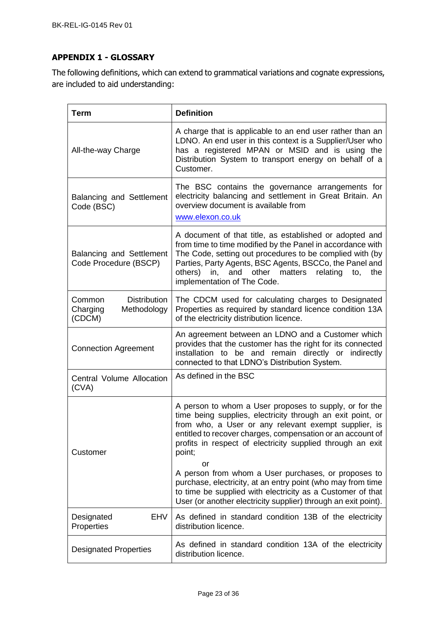# <span id="page-22-0"></span>**APPENDIX 1 - GLOSSARY**

The following definitions, which can extend to grammatical variations and cognate expressions, are included to aid understanding:

| <b>Term</b>                                                        | <b>Definition</b>                                                                                                                                                                                                                                                                                                                                                                                                                              |
|--------------------------------------------------------------------|------------------------------------------------------------------------------------------------------------------------------------------------------------------------------------------------------------------------------------------------------------------------------------------------------------------------------------------------------------------------------------------------------------------------------------------------|
| All-the-way Charge                                                 | A charge that is applicable to an end user rather than an<br>LDNO. An end user in this context is a Supplier/User who<br>has a registered MPAN or MSID and is using the<br>Distribution System to transport energy on behalf of a<br>Customer.                                                                                                                                                                                                 |
| <b>Balancing and Settlement</b><br>Code (BSC)                      | The BSC contains the governance arrangements for<br>electricity balancing and settlement in Great Britain. An<br>overview document is available from<br>www.elexon.co.uk                                                                                                                                                                                                                                                                       |
| <b>Balancing and Settlement</b><br>Code Procedure (BSCP)           | A document of that title, as established or adopted and<br>from time to time modified by the Panel in accordance with<br>The Code, setting out procedures to be complied with (by<br>Parties, Party Agents, BSC Agents, BSCCo, the Panel and<br>others)<br>and other<br>matters<br>relating<br>in,<br>the<br>to,<br>implementation of The Code.                                                                                                |
| <b>Distribution</b><br>Common<br>Charging<br>Methodology<br>(CDCM) | The CDCM used for calculating charges to Designated<br>Properties as required by standard licence condition 13A<br>of the electricity distribution licence.                                                                                                                                                                                                                                                                                    |
| <b>Connection Agreement</b>                                        | An agreement between an LDNO and a Customer which<br>provides that the customer has the right for its connected<br>installation to be and remain directly or indirectly<br>connected to that LDNO's Distribution System.                                                                                                                                                                                                                       |
| Central Volume Allocation<br>(CVA)                                 | As defined in the BSC                                                                                                                                                                                                                                                                                                                                                                                                                          |
| Customer                                                           | A person to whom a User proposes to supply, or for the<br>time being supplies, electricity through an exit point, or<br>from who, a User or any relevant exempt supplier, is<br>entitled to recover charges, compensation or an account of<br>profits in respect of electricity supplied through an exit<br>point;<br>or<br>A person from whom a User purchases, or proposes to<br>purchase, electricity, at an entry point (who may from time |
|                                                                    | to time be supplied with electricity as a Customer of that<br>User (or another electricity supplier) through an exit point).                                                                                                                                                                                                                                                                                                                   |
| EHV<br>Designated<br>Properties                                    | As defined in standard condition 13B of the electricity<br>distribution licence.                                                                                                                                                                                                                                                                                                                                                               |
| <b>Designated Properties</b>                                       | As defined in standard condition 13A of the electricity<br>distribution licence.                                                                                                                                                                                                                                                                                                                                                               |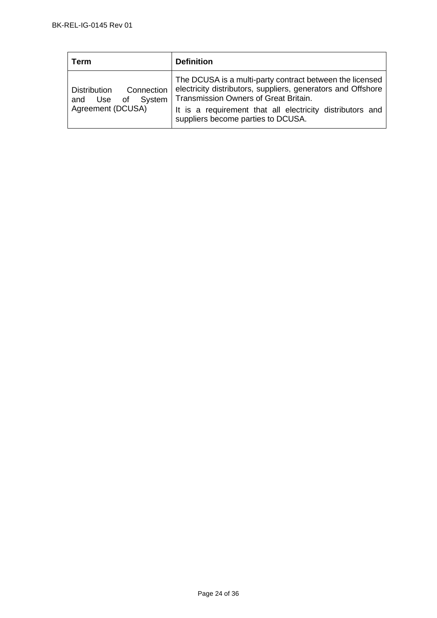| ⊺erm                                                                              | <b>Definition</b>                                                                                                                                                                                                                                                    |
|-----------------------------------------------------------------------------------|----------------------------------------------------------------------------------------------------------------------------------------------------------------------------------------------------------------------------------------------------------------------|
| Connection<br><b>Distribution</b><br>of System<br>Use<br>and<br>Agreement (DCUSA) | The DCUSA is a multi-party contract between the licensed<br>electricity distributors, suppliers, generators and Offshore<br>Transmission Owners of Great Britain.<br>It is a requirement that all electricity distributors and<br>suppliers become parties to DCUSA. |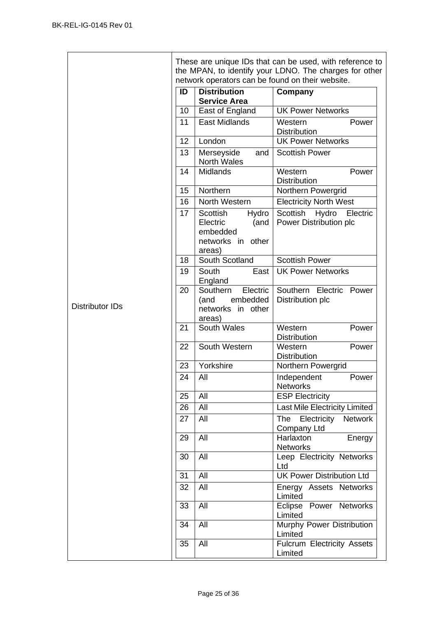|                        |    |                                                                                  | These are unique IDs that can be used, with reference to<br>the MPAN, to identify your LDNO. The charges for other |
|------------------------|----|----------------------------------------------------------------------------------|--------------------------------------------------------------------------------------------------------------------|
|                        |    | network operators can be found on their website.                                 |                                                                                                                    |
|                        | ID | <b>Distribution</b><br><b>Service Area</b>                                       | Company                                                                                                            |
|                        | 10 | East of England                                                                  | <b>UK Power Networks</b>                                                                                           |
|                        | 11 | <b>East Midlands</b>                                                             | Western<br>Power<br>Distribution                                                                                   |
|                        | 12 | London                                                                           | <b>UK Power Networks</b>                                                                                           |
|                        | 13 | Merseyside<br>and<br>North Wales                                                 | <b>Scottish Power</b>                                                                                              |
|                        | 14 | <b>Midlands</b>                                                                  | Western<br>Power<br><b>Distribution</b>                                                                            |
|                        | 15 | Northern                                                                         | Northern Powergrid                                                                                                 |
|                        | 16 | North Western                                                                    | <b>Electricity North West</b>                                                                                      |
|                        | 17 | Scottish<br>Hydro<br>Electric<br>(and<br>embedded<br>networks in other<br>areas) | Scottish<br>Hydro<br>Electric<br>Power Distribution plc                                                            |
|                        | 18 | South Scotland                                                                   | <b>Scottish Power</b>                                                                                              |
|                        | 19 | South<br>East<br>England                                                         | <b>UK Power Networks</b>                                                                                           |
| <b>Distributor IDs</b> | 20 | Southern<br>Electric<br>embedded<br>(and<br>networks in other<br>areas)          | Southern Electric Power<br>Distribution plc                                                                        |
|                        | 21 | South Wales                                                                      | Western<br>Power<br><b>Distribution</b>                                                                            |
|                        | 22 | South Western                                                                    | Western<br>Power<br>Distribution                                                                                   |
|                        | 23 | Yorkshire                                                                        | Northern Powergrid                                                                                                 |
|                        | 24 | All                                                                              | Independent<br>Power<br><b>Networks</b>                                                                            |
|                        | 25 | All                                                                              | <b>ESP Electricity</b>                                                                                             |
|                        | 26 | All                                                                              | Last Mile Electricity Limited                                                                                      |
|                        | 27 | All                                                                              | The<br>Electricity<br><b>Network</b><br><b>Company Ltd</b>                                                         |
|                        | 29 | All                                                                              | Harlaxton<br>Energy<br><b>Networks</b>                                                                             |
|                        | 30 | All                                                                              | Leep Electricity Networks<br>Ltd                                                                                   |
|                        | 31 | All                                                                              | <b>UK Power Distribution Ltd</b>                                                                                   |
|                        | 32 | All                                                                              | Energy Assets Networks<br>Limited                                                                                  |
|                        | 33 | All                                                                              | Eclipse<br>Power Networks<br>Limited                                                                               |
|                        | 34 | All                                                                              | Murphy Power Distribution<br>Limited                                                                               |
|                        | 35 | All                                                                              | Fulcrum Electricity Assets<br>Limited                                                                              |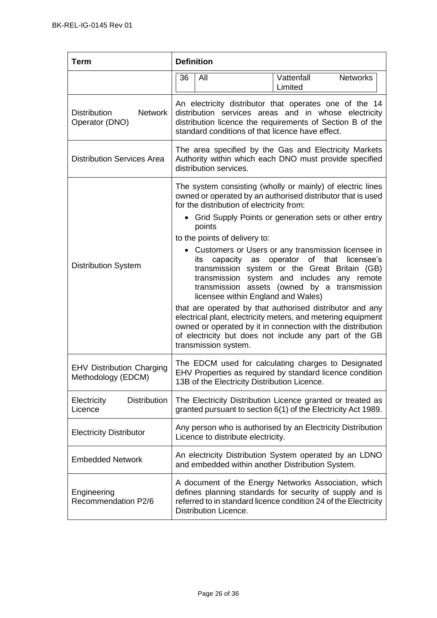| <b>Term</b>                                             | <b>Definition</b>                                                                                                                                                                                                               |                                                                                                                                                                                                                                                                                                                                                                                                                                                                                                                                                                                                                                                                                            |  |
|---------------------------------------------------------|---------------------------------------------------------------------------------------------------------------------------------------------------------------------------------------------------------------------------------|--------------------------------------------------------------------------------------------------------------------------------------------------------------------------------------------------------------------------------------------------------------------------------------------------------------------------------------------------------------------------------------------------------------------------------------------------------------------------------------------------------------------------------------------------------------------------------------------------------------------------------------------------------------------------------------------|--|
|                                                         | 36<br>All                                                                                                                                                                                                                       | Vattenfall<br><b>Networks</b><br>Limited                                                                                                                                                                                                                                                                                                                                                                                                                                                                                                                                                                                                                                                   |  |
| <b>Network</b><br><b>Distribution</b><br>Operator (DNO) | An electricity distributor that operates one of the 14<br>distribution services areas and in whose electricity<br>distribution licence the requirements of Section B of the<br>standard conditions of that licence have effect. |                                                                                                                                                                                                                                                                                                                                                                                                                                                                                                                                                                                                                                                                                            |  |
| <b>Distribution Services Area</b>                       | The area specified by the Gas and Electricity Markets<br>Authority within which each DNO must provide specified<br>distribution services.                                                                                       |                                                                                                                                                                                                                                                                                                                                                                                                                                                                                                                                                                                                                                                                                            |  |
| <b>Distribution System</b>                              | for the distribution of electricity from:<br>points<br>to the points of delivery to:<br>its<br>licensee within England and Wales)<br>transmission system.                                                                       | The system consisting (wholly or mainly) of electric lines<br>owned or operated by an authorised distributor that is used<br>Grid Supply Points or generation sets or other entry<br>Customers or Users or any transmission licensee in<br>capacity as operator of that<br>licensee's<br>transmission system or the Great Britain (GB)<br>transmission system and includes any remote<br>transmission assets (owned by a transmission<br>that are operated by that authorised distributor and any<br>electrical plant, electricity meters, and metering equipment<br>owned or operated by it in connection with the distribution<br>of electricity but does not include any part of the GB |  |
| <b>EHV Distribution Charging</b><br>Methodology (EDCM)  | 13B of the Electricity Distribution Licence.                                                                                                                                                                                    | The EDCM used for calculating charges to Designated<br>EHV Properties as required by standard licence condition                                                                                                                                                                                                                                                                                                                                                                                                                                                                                                                                                                            |  |
| <b>Distribution</b><br>Electricity<br>Licence           |                                                                                                                                                                                                                                 | The Electricity Distribution Licence granted or treated as<br>granted pursuant to section 6(1) of the Electricity Act 1989.                                                                                                                                                                                                                                                                                                                                                                                                                                                                                                                                                                |  |
| <b>Electricity Distributor</b>                          | Licence to distribute electricity.                                                                                                                                                                                              | Any person who is authorised by an Electricity Distribution                                                                                                                                                                                                                                                                                                                                                                                                                                                                                                                                                                                                                                |  |
| <b>Embedded Network</b>                                 | and embedded within another Distribution System.                                                                                                                                                                                | An electricity Distribution System operated by an LDNO                                                                                                                                                                                                                                                                                                                                                                                                                                                                                                                                                                                                                                     |  |
| Engineering<br>Recommendation P2/6                      | Distribution Licence.                                                                                                                                                                                                           | A document of the Energy Networks Association, which<br>defines planning standards for security of supply and is<br>referred to in standard licence condition 24 of the Electricity                                                                                                                                                                                                                                                                                                                                                                                                                                                                                                        |  |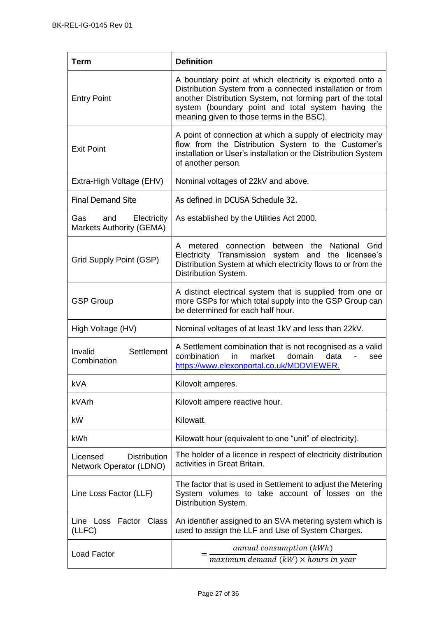| Term                                                         | <b>Definition</b>                                                                                                                                                                                                                                                                      |
|--------------------------------------------------------------|----------------------------------------------------------------------------------------------------------------------------------------------------------------------------------------------------------------------------------------------------------------------------------------|
| <b>Entry Point</b>                                           | A boundary point at which electricity is exported onto a<br>Distribution System from a connected installation or from<br>another Distribution System, not forming part of the total<br>system (boundary point and total system having the<br>meaning given to those terms in the BSC). |
| <b>Exit Point</b>                                            | A point of connection at which a supply of electricity may<br>flow from the Distribution System to the Customer's<br>installation or User's installation or the Distribution System<br>of another person.                                                                              |
| Extra-High Voltage (EHV)                                     | Nominal voltages of 22kV and above.                                                                                                                                                                                                                                                    |
| <b>Final Demand Site</b>                                     | As defined in DCUSA Schedule 32.                                                                                                                                                                                                                                                       |
| Gas<br>Electricity<br>and<br><b>Markets Authority (GEMA)</b> | As established by the Utilities Act 2000.                                                                                                                                                                                                                                              |
| Grid Supply Point (GSP)                                      | between the<br>National Grid<br>metered connection<br>A<br>Electricity Transmission<br>system and the licensee's<br>Distribution System at which electricity flows to or from the<br>Distribution System.                                                                              |
| <b>GSP Group</b>                                             | A distinct electrical system that is supplied from one or<br>more GSPs for which total supply into the GSP Group can<br>be determined for each half hour.                                                                                                                              |
| High Voltage (HV)                                            | Nominal voltages of at least 1kV and less than 22kV.                                                                                                                                                                                                                                   |
| Settlement<br>Invalid<br>Combination                         | A Settlement combination that is not recognised as a valid<br>combination<br>in<br>market<br>domain<br>data<br>see<br>https://www.elexonportal.co.uk/MDDVIEWER.                                                                                                                        |
| <b>kVA</b>                                                   | Kilovolt amperes.                                                                                                                                                                                                                                                                      |
| kVArh                                                        | Kilovolt ampere reactive hour.                                                                                                                                                                                                                                                         |
| kW                                                           | Kilowatt.                                                                                                                                                                                                                                                                              |
| kWh                                                          | Kilowatt hour (equivalent to one "unit" of electricity).                                                                                                                                                                                                                               |
| <b>Distribution</b><br>Licensed<br>Network Operator (LDNO)   | The holder of a licence in respect of electricity distribution<br>activities in Great Britain.                                                                                                                                                                                         |
| Line Loss Factor (LLF)                                       | The factor that is used in Settlement to adjust the Metering<br>System volumes to take account of losses on the<br>Distribution System.                                                                                                                                                |
| Line Loss Factor<br>Class<br>(LLFC)                          | An identifier assigned to an SVA metering system which is<br>used to assign the LLF and Use of System Charges.                                                                                                                                                                         |
| <b>Load Factor</b>                                           | annual consumption (kWh)<br>maximum demand $(kW) \times$ hours in year                                                                                                                                                                                                                 |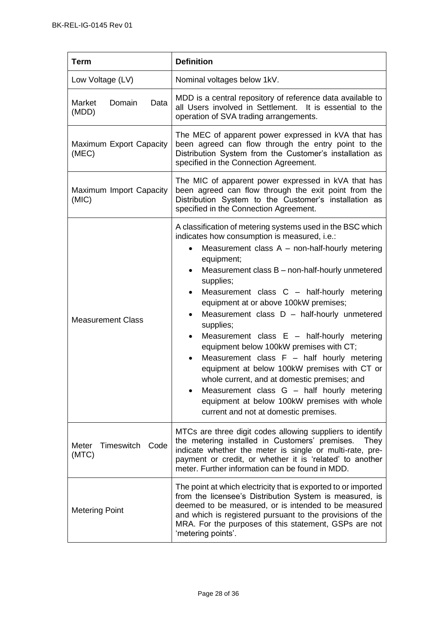| <b>Term</b>                       | <b>Definition</b>                                                                                                                                                                                                                                                                                                                                                                                                                                                                                                                                                                                                                                                                                                                                                                                       |
|-----------------------------------|---------------------------------------------------------------------------------------------------------------------------------------------------------------------------------------------------------------------------------------------------------------------------------------------------------------------------------------------------------------------------------------------------------------------------------------------------------------------------------------------------------------------------------------------------------------------------------------------------------------------------------------------------------------------------------------------------------------------------------------------------------------------------------------------------------|
| Low Voltage (LV)                  | Nominal voltages below 1kV.                                                                                                                                                                                                                                                                                                                                                                                                                                                                                                                                                                                                                                                                                                                                                                             |
| Domain<br>Data<br>Market<br>(MDD) | MDD is a central repository of reference data available to<br>all Users involved in Settlement. It is essential to the<br>operation of SVA trading arrangements.                                                                                                                                                                                                                                                                                                                                                                                                                                                                                                                                                                                                                                        |
| Maximum Export Capacity<br>(MEC)  | The MEC of apparent power expressed in kVA that has<br>been agreed can flow through the entry point to the<br>Distribution System from the Customer's installation as<br>specified in the Connection Agreement.                                                                                                                                                                                                                                                                                                                                                                                                                                                                                                                                                                                         |
| Maximum Import Capacity<br>(MIC)  | The MIC of apparent power expressed in kVA that has<br>been agreed can flow through the exit point from the<br>Distribution System to the Customer's installation as<br>specified in the Connection Agreement.                                                                                                                                                                                                                                                                                                                                                                                                                                                                                                                                                                                          |
| <b>Measurement Class</b>          | A classification of metering systems used in the BSC which<br>indicates how consumption is measured, i.e.:<br>Measurement class $A$ – non-half-hourly metering<br>equipment;<br>Measurement class B - non-half-hourly unmetered<br>supplies;<br>Measurement class C - half-hourly metering<br>equipment at or above 100kW premises;<br>Measurement class $D -$ half-hourly unmetered<br>supplies;<br>Measurement class $E -$ half-hourly metering<br>equipment below 100kW premises with CT;<br>Measurement class $F - \text{half}$ hourly metering<br>$\bullet$<br>equipment at below 100kW premises with CT or<br>whole current, and at domestic premises; and<br>Measurement class G - half hourly metering<br>equipment at below 100kW premises with whole<br>current and not at domestic premises. |
| Meter<br>Timeswitch Code<br>(MTC) | MTCs are three digit codes allowing suppliers to identify<br>the metering installed in Customers' premises.<br>They<br>indicate whether the meter is single or multi-rate, pre-<br>payment or credit, or whether it is 'related' to another<br>meter. Further information can be found in MDD.                                                                                                                                                                                                                                                                                                                                                                                                                                                                                                          |
| <b>Metering Point</b>             | The point at which electricity that is exported to or imported<br>from the licensee's Distribution System is measured, is<br>deemed to be measured, or is intended to be measured<br>and which is registered pursuant to the provisions of the<br>MRA. For the purposes of this statement, GSPs are not<br>'metering points'.                                                                                                                                                                                                                                                                                                                                                                                                                                                                           |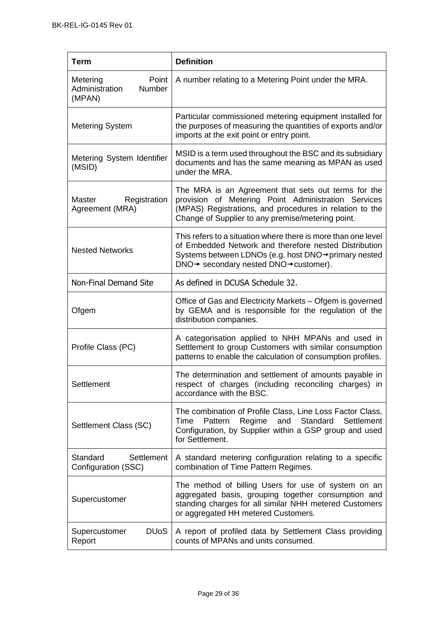| <b>Term</b>                                             | <b>Definition</b>                                                                                                                                                                                                          |
|---------------------------------------------------------|----------------------------------------------------------------------------------------------------------------------------------------------------------------------------------------------------------------------------|
| Metering<br>Point<br>Administration<br>Number<br>(MPAN) | A number relating to a Metering Point under the MRA.                                                                                                                                                                       |
| <b>Metering System</b>                                  | Particular commissioned metering equipment installed for<br>the purposes of measuring the quantities of exports and/or<br>imports at the exit point or entry point.                                                        |
| Metering System Identifier<br>(MSID)                    | MSID is a term used throughout the BSC and its subsidiary<br>documents and has the same meaning as MPAN as used<br>under the MRA.                                                                                          |
| Master<br>Registration<br>Agreement (MRA)               | The MRA is an Agreement that sets out terms for the<br>provision of Metering Point Administration Services<br>(MPAS) Registrations, and procedures in relation to the<br>Change of Supplier to any premise/metering point. |
| <b>Nested Networks</b>                                  | This refers to a situation where there is more than one level<br>of Embedded Network and therefore nested Distribution<br>Systems between LDNOs (e.g. host DNO→primary nested<br>DNO→ secondary nested DNO→ customer).     |
| Non-Final Demand Site                                   | As defined in DCUSA Schedule 32.                                                                                                                                                                                           |
| Ofgem                                                   | Office of Gas and Electricity Markets - Ofgem is governed<br>by GEMA and is responsible for the regulation of the<br>distribution companies.                                                                               |
| Profile Class (PC)                                      | A categorisation applied to NHH MPANs and used in<br>Settlement to group Customers with similar consumption<br>patterns to enable the calculation of consumption profiles.                                                 |
| Settlement                                              | The determination and settlement of amounts payable in<br>respect of charges (including reconciling charges) in<br>accordance with the BSC.                                                                                |
| Settlement Class (SC)                                   | The combination of Profile Class, Line Loss Factor Class,<br>Regime<br>and<br>Standard<br>Settlement<br>Time<br>Pattern<br>Configuration, by Supplier within a GSP group and used<br>for Settlement.                       |
| Standard<br>Settlement<br>Configuration (SSC)           | A standard metering configuration relating to a specific<br>combination of Time Pattern Regimes.                                                                                                                           |
| Supercustomer                                           | The method of billing Users for use of system on an<br>aggregated basis, grouping together consumption and<br>standing charges for all similar NHH metered Customers<br>or aggregated HH metered Customers.                |
| <b>DU<sub>o</sub>S</b><br>Supercustomer<br>Report       | A report of profiled data by Settlement Class providing<br>counts of MPANs and units consumed.                                                                                                                             |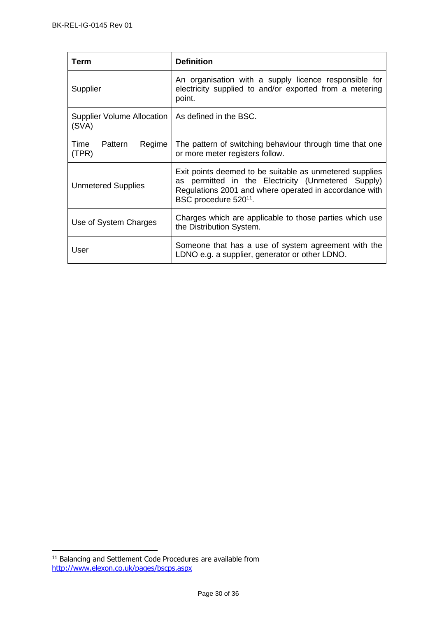| Term                                                         | <b>Definition</b>                                                                                                                                                                                            |
|--------------------------------------------------------------|--------------------------------------------------------------------------------------------------------------------------------------------------------------------------------------------------------------|
| Supplier                                                     | An organisation with a supply licence responsible for<br>electricity supplied to and/or exported from a metering<br>point.                                                                                   |
| Supplier Volume Allocation   As defined in the BSC.<br>(SVA) |                                                                                                                                                                                                              |
| Time<br>Pattern<br>Regime<br>(TPR)                           | The pattern of switching behaviour through time that one<br>or more meter registers follow.                                                                                                                  |
| <b>Unmetered Supplies</b>                                    | Exit points deemed to be suitable as unmetered supplies<br>as permitted in the Electricity (Unmetered Supply)<br>Regulations 2001 and where operated in accordance with<br>BSC procedure 520 <sup>11</sup> . |
| Use of System Charges                                        | Charges which are applicable to those parties which use<br>the Distribution System.                                                                                                                          |
| User                                                         | Someone that has a use of system agreement with the<br>LDNO e.g. a supplier, generator or other LDNO.                                                                                                        |

 $11$  Balancing and Settlement Code Procedures are available from <http://www.elexon.co.uk/pages/bscps.aspx>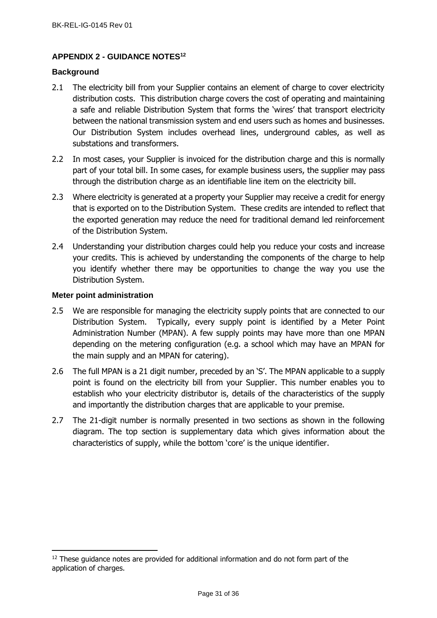## <span id="page-30-0"></span>**APPENDIX 2 - GUIDANCE NOTES<sup>12</sup>**

## <span id="page-30-1"></span>**Background**

- 2.1 The electricity bill from your Supplier contains an element of charge to cover electricity distribution costs. This distribution charge covers the cost of operating and maintaining a safe and reliable Distribution System that forms the 'wires' that transport electricity between the national transmission system and end users such as homes and businesses. Our Distribution System includes overhead lines, underground cables, as well as substations and transformers.
- 2.2 In most cases, your Supplier is invoiced for the distribution charge and this is normally part of your total bill. In some cases, for example business users, the supplier may pass through the distribution charge as an identifiable line item on the electricity bill.
- 2.3 Where electricity is generated at a property your Supplier may receive a credit for energy that is exported on to the Distribution System. These credits are intended to reflect that the exported generation may reduce the need for traditional demand led reinforcement of the Distribution System.
- 2.4 Understanding your distribution charges could help you reduce your costs and increase your credits. This is achieved by understanding the components of the charge to help you identify whether there may be opportunities to change the way you use the Distribution System.

#### <span id="page-30-2"></span>**Meter point administration**

- 2.5 We are responsible for managing the electricity supply points that are connected to our Distribution System. Typically, every supply point is identified by a Meter Point Administration Number (MPAN). A few supply points may have more than one MPAN depending on the metering configuration (e.g. a school which may have an MPAN for the main supply and an MPAN for catering).
- 2.6 The full MPAN is a 21 digit number, preceded by an 'S'. The MPAN applicable to a supply point is found on the electricity bill from your Supplier. This number enables you to establish who your electricity distributor is, details of the characteristics of the supply and importantly the distribution charges that are applicable to your premise.
- 2.7 The 21-digit number is normally presented in two sections as shown in the following diagram. The top section is supplementary data which gives information about the characteristics of supply, while the bottom 'core' is the unique identifier.

 $12$  These guidance notes are provided for additional information and do not form part of the application of charges.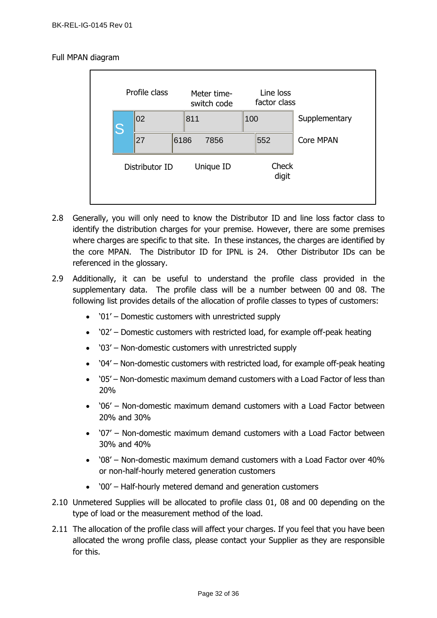## Full MPAN diagram



- 2.8 Generally, you will only need to know the Distributor ID and line loss factor class to identify the distribution charges for your premise. However, there are some premises where charges are specific to that site. In these instances, the charges are identified by the core MPAN. The Distributor ID for IPNL is 24. Other Distributor IDs can be referenced in the glossary.
- 2.9 Additionally, it can be useful to understand the profile class provided in the supplementary data. The profile class will be a number between 00 and 08. The following list provides details of the allocation of profile classes to types of customers:
	- '01' Domestic customers with unrestricted supply
	- '02' Domestic customers with restricted load, for example off-peak heating
	- '03' Non-domestic customers with unrestricted supply
	- '04' Non-domestic customers with restricted load, for example off-peak heating
	- '05' Non-domestic maximum demand customers with a Load Factor of less than 20%
	- '06' Non-domestic maximum demand customers with a Load Factor between 20% and 30%
	- '07' Non-domestic maximum demand customers with a Load Factor between 30% and 40%
	- '08' Non-domestic maximum demand customers with a Load Factor over 40% or non-half-hourly metered generation customers
	- '00' Half-hourly metered demand and generation customers
- 2.10 Unmetered Supplies will be allocated to profile class 01, 08 and 00 depending on the type of load or the measurement method of the load.
- 2.11 The allocation of the profile class will affect your charges. If you feel that you have been allocated the wrong profile class, please contact your Supplier as they are responsible for this.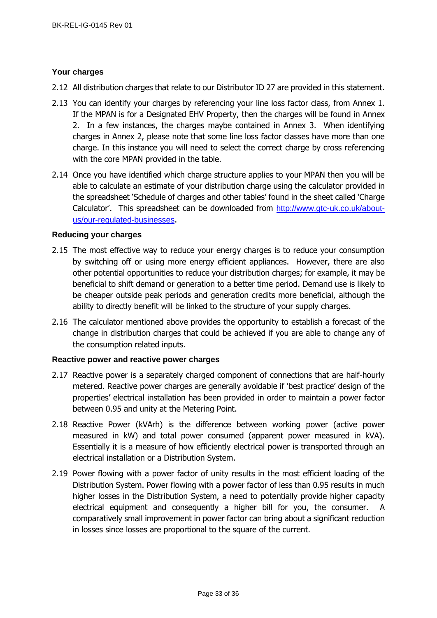## <span id="page-32-0"></span>**Your charges**

- 2.12 All distribution charges that relate to our Distributor ID 27 are provided in this statement.
- 2.13 You can identify your charges by referencing your line loss factor class, from Annex 1. If the MPAN is for a Designated EHV Property, then the charges will be found in Annex 2. In a few instances, the charges maybe contained in Annex 3. When identifying charges in Annex 2, please note that some line loss factor classes have more than one charge. In this instance you will need to select the correct charge by cross referencing with the core MPAN provided in the table.
- 2.14 Once you have identified which charge structure applies to your MPAN then you will be able to calculate an estimate of your distribution charge using the calculator provided in the spreadsheet 'Schedule of charges and other tables' found in the sheet called 'Charge Calculator'. This spreadsheet can be downloaded from [http://www.gtc-uk.co.uk/about](http://www.gtc-uk.co.uk/about-us/our-regulated-businesses)[us/our-regulated-businesses](http://www.gtc-uk.co.uk/about-us/our-regulated-businesses).

## <span id="page-32-1"></span>**Reducing your charges**

- 2.15 The most effective way to reduce your energy charges is to reduce your consumption by switching off or using more energy efficient appliances. However, there are also other potential opportunities to reduce your distribution charges; for example, it may be beneficial to shift demand or generation to a better time period. Demand use is likely to be cheaper outside peak periods and generation credits more beneficial, although the ability to directly benefit will be linked to the structure of your supply charges.
- 2.16 The calculator mentioned above provides the opportunity to establish a forecast of the change in distribution charges that could be achieved if you are able to change any of the consumption related inputs.

## <span id="page-32-2"></span>**Reactive power and reactive power charges**

- 2.17 Reactive power is a separately charged component of connections that are half-hourly metered. Reactive power charges are generally avoidable if 'best practice' design of the properties' electrical installation has been provided in order to maintain a power factor between 0.95 and unity at the Metering Point.
- 2.18 Reactive Power (kVArh) is the difference between working power (active power measured in kW) and total power consumed (apparent power measured in kVA). Essentially it is a measure of how efficiently electrical power is transported through an electrical installation or a Distribution System.
- 2.19 Power flowing with a power factor of unity results in the most efficient loading of the Distribution System. Power flowing with a power factor of less than 0.95 results in much higher losses in the Distribution System, a need to potentially provide higher capacity electrical equipment and consequently a higher bill for you, the consumer. A comparatively small improvement in power factor can bring about a significant reduction in losses since losses are proportional to the square of the current.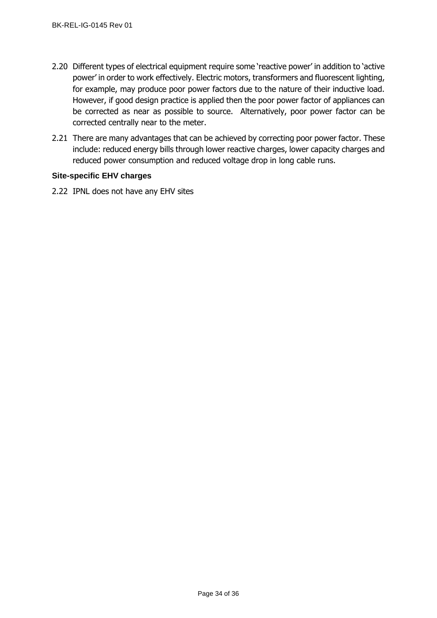- 2.20 Different types of electrical equipment require some 'reactive power' in addition to 'active power' in order to work effectively. Electric motors, transformers and fluorescent lighting, for example, may produce poor power factors due to the nature of their inductive load. However, if good design practice is applied then the poor power factor of appliances can be corrected as near as possible to source. Alternatively, poor power factor can be corrected centrally near to the meter.
- 2.21 There are many advantages that can be achieved by correcting poor power factor. These include: reduced energy bills through lower reactive charges, lower capacity charges and reduced power consumption and reduced voltage drop in long cable runs.

## <span id="page-33-0"></span>**Site-specific EHV charges**

2.22 IPNL does not have any EHV sites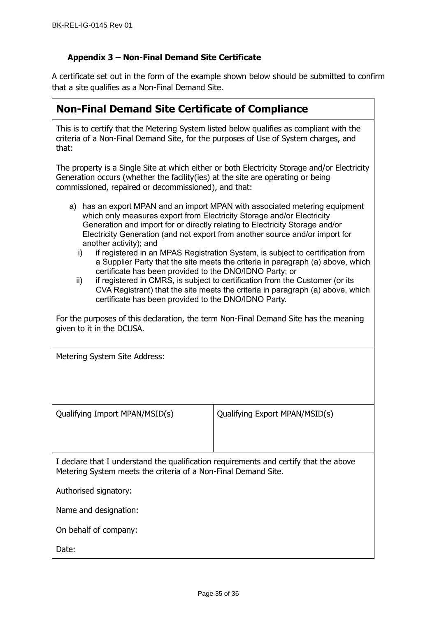## **Appendix 3 – Non-Final Demand Site Certificate**

A certificate set out in the form of the example shown below should be submitted to confirm that a site qualifies as a Non-Final Demand Site.

| <b>Non-Final Demand Site Certificate of Compliance</b>                                                                                                                                                                                                                                                                                                                                                                                                                                                                     |  |
|----------------------------------------------------------------------------------------------------------------------------------------------------------------------------------------------------------------------------------------------------------------------------------------------------------------------------------------------------------------------------------------------------------------------------------------------------------------------------------------------------------------------------|--|
| This is to certify that the Metering System listed below qualifies as compliant with the<br>criteria of a Non-Final Demand Site, for the purposes of Use of System charges, and<br>that:                                                                                                                                                                                                                                                                                                                                   |  |
| The property is a Single Site at which either or both Electricity Storage and/or Electricity<br>Generation occurs (whether the facility (ies) at the site are operating or being<br>commissioned, repaired or decommissioned), and that:                                                                                                                                                                                                                                                                                   |  |
| a) has an export MPAN and an import MPAN with associated metering equipment<br>which only measures export from Electricity Storage and/or Electricity<br>Generation and import for or directly relating to Electricity Storage and/or<br>Electricity Generation (and not export from another source and/or import for<br>another activity); and<br>if registered in an MPAS Registration System, is subject to certification from<br>i)<br>a Supplier Party that the site meets the criteria in paragraph (a) above, which |  |

certificate has been provided to the DNO/IDNO Party; or ii) if registered in CMRS, is subject to certification from the Customer (or its CVA Registrant) that the site meets the criteria in paragraph (a) above, which certificate has been provided to the DNO/IDNO Party.

For the purposes of this declaration, the term Non-Final Demand Site has the meaning given to it in the DCUSA.

Metering System Site Address:

Qualifying Import MPAN/MSID(s) Qualifying Export MPAN/MSID(s)

I declare that I understand the qualification requirements and certify that the above Metering System meets the criteria of a Non-Final Demand Site.

Authorised signatory:

Name and designation:

On behalf of company:

Date: